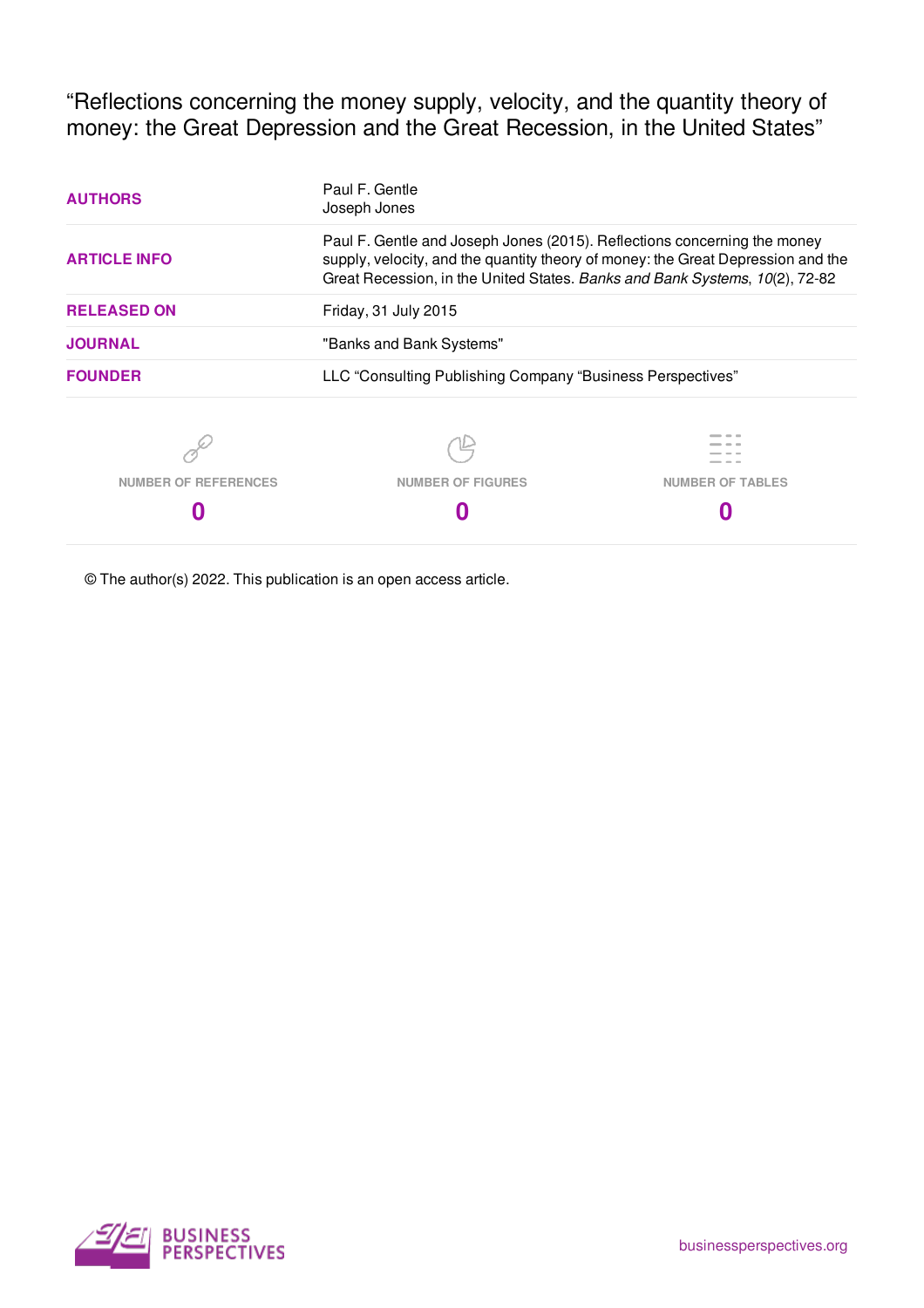"Reflections concerning the money supply, velocity, and the quantity theory of money: the Great Depression and the Great Recession, in the United States"

| <b>AUTHORS</b>              | Paul F. Gentle<br>Joseph Jones                                                                                                                                                                                                              |                         |  |  |  |
|-----------------------------|---------------------------------------------------------------------------------------------------------------------------------------------------------------------------------------------------------------------------------------------|-------------------------|--|--|--|
| <b>ARTICLE INFO</b>         | Paul F. Gentle and Joseph Jones (2015). Reflections concerning the money<br>supply, velocity, and the quantity theory of money: the Great Depression and the<br>Great Recession, in the United States. Banks and Bank Systems, 10(2), 72-82 |                         |  |  |  |
| <b>RELEASED ON</b>          | Friday, 31 July 2015                                                                                                                                                                                                                        |                         |  |  |  |
| <b>JOURNAL</b>              | "Banks and Bank Systems"                                                                                                                                                                                                                    |                         |  |  |  |
| <b>FOUNDER</b>              | LLC "Consulting Publishing Company "Business Perspectives"                                                                                                                                                                                  |                         |  |  |  |
|                             |                                                                                                                                                                                                                                             |                         |  |  |  |
| <b>NUMBER OF REFERENCES</b> | <b>NUMBER OF FIGURES</b>                                                                                                                                                                                                                    | <b>NUMBER OF TABLES</b> |  |  |  |
|                             |                                                                                                                                                                                                                                             |                         |  |  |  |

© The author(s) 2022. This publication is an open access article.

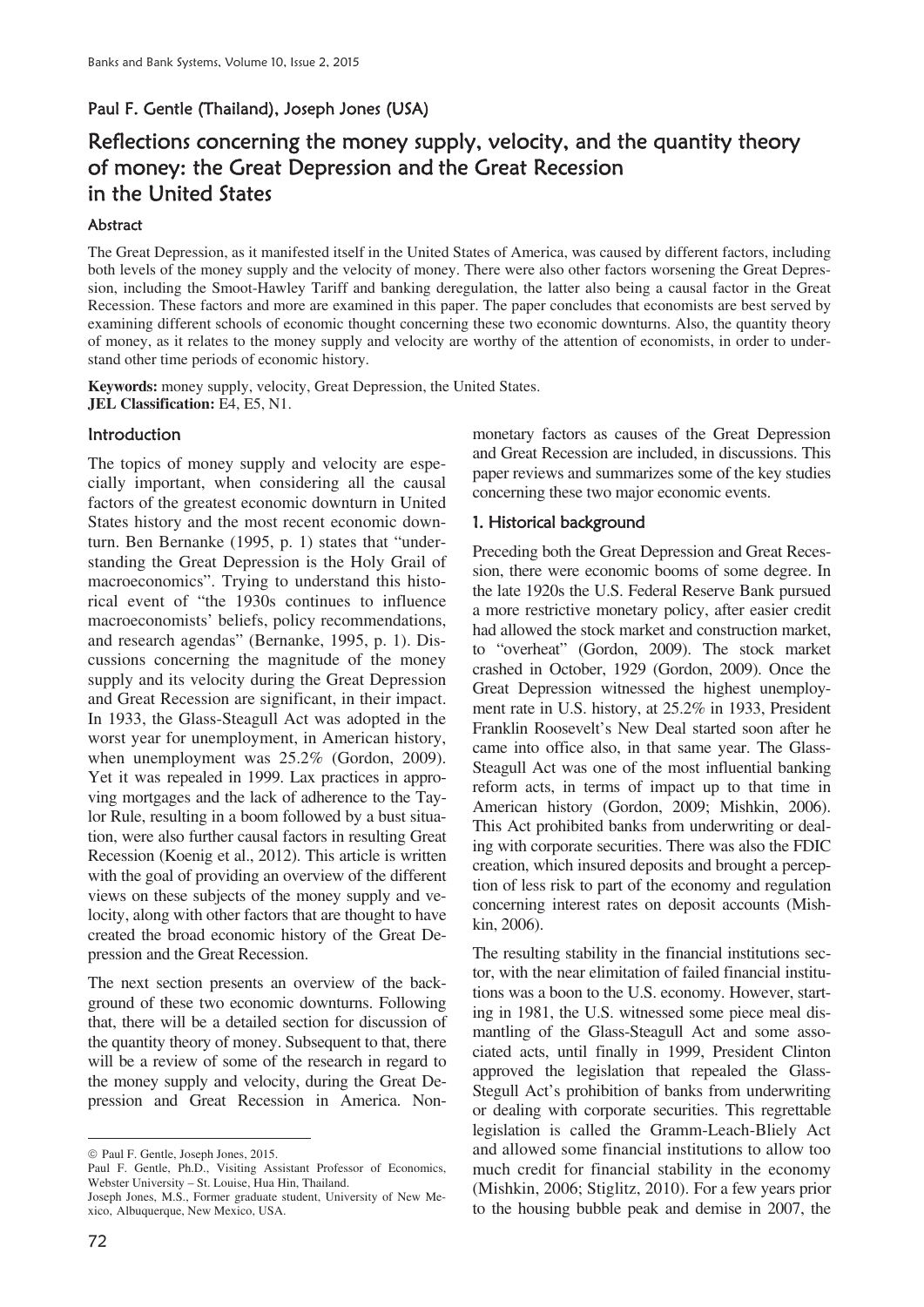# Paul F. Gentle (Thailand), Joseph Jones (USA)

# Reflections concerning the money supply, velocity, and the quantity theory of money: the Great Depression and the Great Recession in the United States

## Abstract

The Great Depression, as it manifested itself in the United States of America, was caused by different factors, including both levels of the money supply and the velocity of money. There were also other factors worsening the Great Depression, including the Smoot-Hawley Tariff and banking deregulation, the latter also being a causal factor in the Great Recession. These factors and more are examined in this paper. The paper concludes that economists are best served by examining different schools of economic thought concerning these two economic downturns. Also, the quantity theory of money, as it relates to the money supply and velocity are worthy of the attention of economists, in order to understand other time periods of economic history.

**Keywords:** money supply, velocity, Great Depression, the United States. **JEL Classification:** E4, E5, N1.

## **Introduction**

The topics of money supply and velocity are especially important, when considering all the causal factors of the greatest economic downturn in United States history and the most recent economic downturn. Ben Bernanke (1995, p. 1) states that "understanding the Great Depression is the Holy Grail of macroeconomics". Trying to understand this historical event of "the 1930s continues to influence macroeconomists' beliefs, policy recommendations, and research agendas" (Bernanke, 1995, p. 1). Discussions concerning the magnitude of the money supply and its velocity during the Great Depression and Great Recession are significant, in their impact. In 1933, the Glass-Steagull Act was adopted in the worst year for unemployment, in American history, when unemployment was 25.2% (Gordon, 2009). Yet it was repealed in 1999. Lax practices in approving mortgages and the lack of adherence to the Taylor Rule, resulting in a boom followed by a bust situation, were also further causal factors in resulting Great Recession (Koenig et al., 2012). This article is written with the goal of providing an overview of the different views on these subjects of the money supply and velocity, along with other factors that are thought to have created the broad economic history of the Great Depression and the Great Recession.

The next section presents an overview of the background of these two economic downturns. Following that, there will be a detailed section for discussion of the quantity theory of money. Subsequent to that, there will be a review of some of the research in regard to the money supply and velocity, during the Great Depression and Great Recession in America. Nonmonetary factors as causes of the Great Depression and Great Recession are included, in discussions. This paper reviews and summarizes some of the key studies concerning these two major economic events.

## 1. Historical background

Preceding both the Great Depression and Great Recession, there were economic booms of some degree. In the late 1920s the U.S. Federal Reserve Bank pursued a more restrictive monetary policy, after easier credit had allowed the stock market and construction market, to "overheat" (Gordon, 2009). The stock market crashed in October, 1929 (Gordon, 2009). Once the Great Depression witnessed the highest unemployment rate in U.S. history, at 25.2% in 1933, President Franklin Roosevelt's New Deal started soon after he came into office also, in that same year. The Glass-Steagull Act was one of the most influential banking reform acts, in terms of impact up to that time in American history (Gordon, 2009; Mishkin, 2006). This Act prohibited banks from underwriting or dealing with corporate securities. There was also the FDIC creation, which insured deposits and brought a perception of less risk to part of the economy and regulation concerning interest rates on deposit accounts (Mishkin, 2006).

The resulting stability in the financial institutions sector, with the near elimitation of failed financial institutions was a boon to the U.S. economy. However, starting in 1981, the U.S. witnessed some piece meal dismantling of the Glass-Steagull Act and some associated acts, until finally in 1999, President Clinton approved the legislation that repealed the Glass-Stegull Act's prohibition of banks from underwriting or dealing with corporate securities. This regrettable legislation is called the Gramm-Leach-Bliely Act and allowed some financial institutions to allow too much credit for financial stability in the economy (Mishkin, 2006; Stiglitz, 2010). For a few years prior to the housing bubble peak and demise in 2007, the

 $\overline{a}$  $©$  Paul F. Gentle, Joseph Jones, 2015.

Paul F. Gentle, Ph.D., Visiting Assistant Professor of Economics, Webster University – St. Louise, Hua Hin, Thailand.

Joseph Jones, M.S., Former graduate student, University of New Mexico, Albuquerque, New Mexico, USA.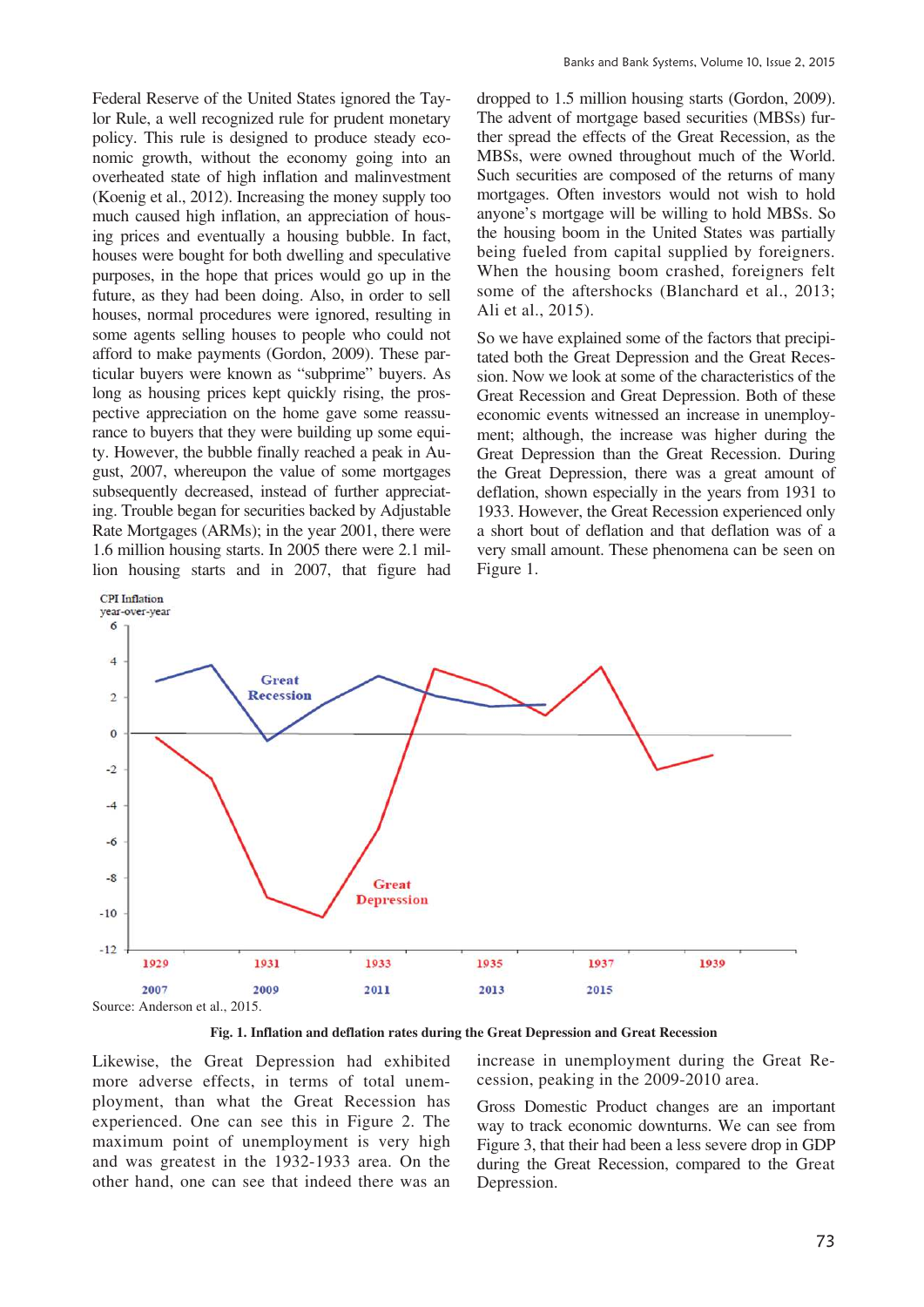Federal Reserve of the United States ignored the Taylor Rule, a well recognized rule for prudent monetary policy. This rule is designed to produce steady economic growth, without the economy going into an overheated state of high inflation and malinvestment (Koenig et al., 2012). Increasing the money supply too much caused high inflation, an appreciation of housing prices and eventually a housing bubble. In fact, houses were bought for both dwelling and speculative purposes, in the hope that prices would go up in the future, as they had been doing. Also, in order to sell houses, normal procedures were ignored, resulting in some agents selling houses to people who could not afford to make payments (Gordon, 2009). These particular buyers were known as "subprime" buyers. As long as housing prices kept quickly rising, the prospective appreciation on the home gave some reassurance to buyers that they were building up some equity. However, the bubble finally reached a peak in August, 2007, whereupon the value of some mortgages subsequently decreased, instead of further appreciating. Trouble began for securities backed by Adjustable Rate Mortgages (ARMs); in the year 2001, there were 1.6 million housing starts. In 2005 there were 2.1 million housing starts and in 2007, that figure had dropped to 1.5 million housing starts (Gordon, 2009). The advent of mortgage based securities (MBSs) further spread the effects of the Great Recession, as the MBSs, were owned throughout much of the World. Such securities are composed of the returns of many mortgages. Often investors would not wish to hold anyone's mortgage will be willing to hold MBSs. So the housing boom in the United States was partially being fueled from capital supplied by foreigners. When the housing boom crashed, foreigners felt some of the aftershocks (Blanchard et al., 2013; Ali et al., 2015).

So we have explained some of the factors that precipitated both the Great Depression and the Great Recession. Now we look at some of the characteristics of the Great Recession and Great Depression. Both of these economic events witnessed an increase in unemployment; although, the increase was higher during the Great Depression than the Great Recession. During the Great Depression, there was a great amount of deflation, shown especially in the years from 1931 to 1933. However, the Great Recession experienced only a short bout of deflation and that deflation was of a very small amount. These phenomena can be seen on Figure 1.



**Fig. 1. Inflation and deflation rates during the Great Depression and Great Recession** 

Likewise, the Great Depression had exhibited more adverse effects, in terms of total unemployment, than what the Great Recession has experienced. One can see this in Figure 2. The maximum point of unemployment is very high and was greatest in the 1932-1933 area. On the other hand, one can see that indeed there was an increase in unemployment during the Great Recession, peaking in the 2009-2010 area.

Gross Domestic Product changes are an important way to track economic downturns. We can see from Figure 3, that their had been a less severe drop in GDP during the Great Recession, compared to the Great Depression.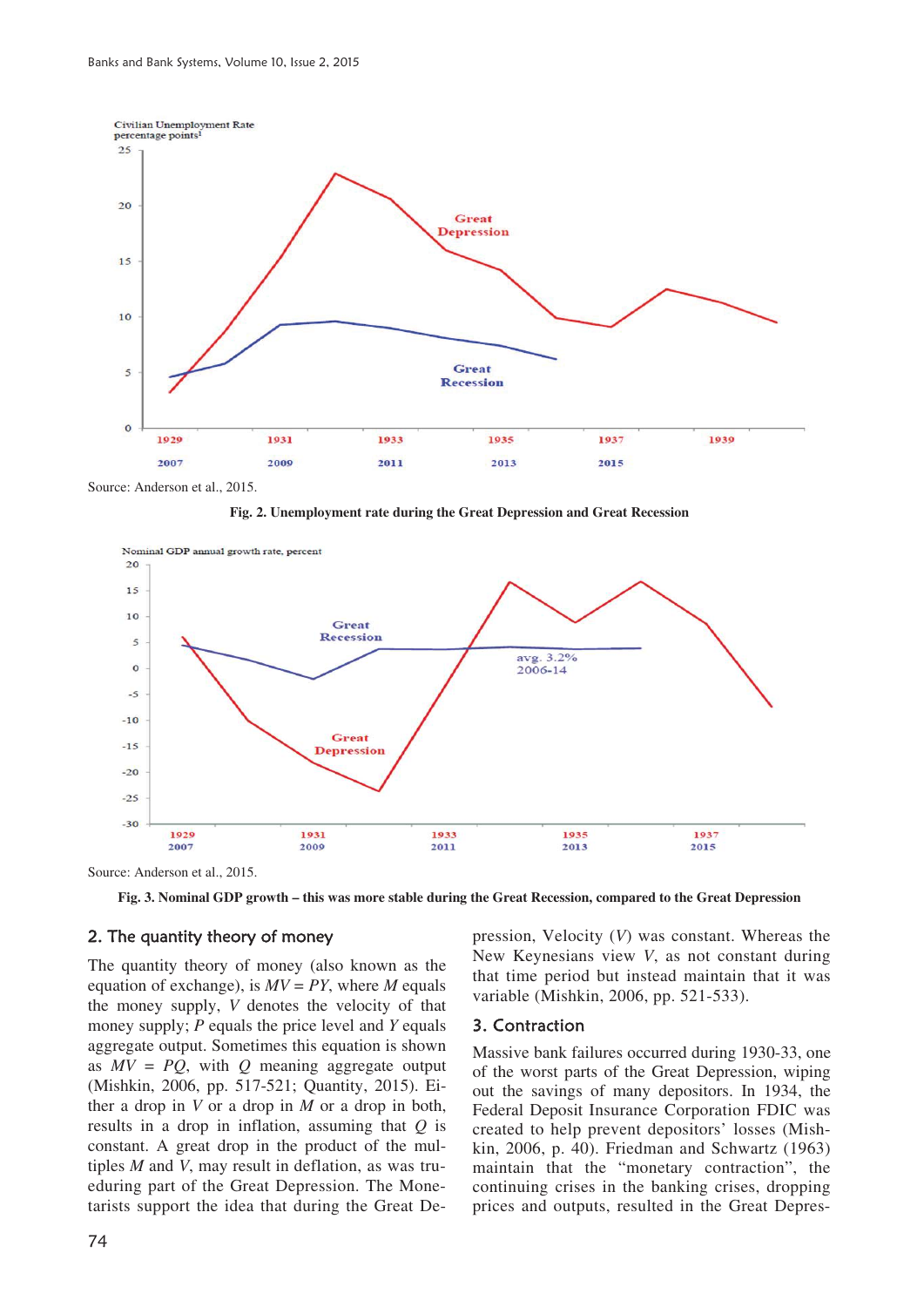

**Fig. 2. Unemployment rate during the Great Depression and Great Recession** 



Source: Anderson et al., 2015.

**Fig. 3. Nominal GDP growth – this was more stable during the Great Recession, compared to the Great Depression** 

#### 2. The quantity theory of money

The quantity theory of money (also known as the equation of exchange), is  $MV = PY$ , where *M* equals the money supply, *V* denotes the velocity of that money supply; *P* equals the price level and *Y* equals aggregate output. Sometimes this equation is shown as *MV* = *PQ*, with *Q* meaning aggregate output (Mishkin, 2006, pp. 517-521; Quantity, 2015). Either a drop in *V* or a drop in *M* or a drop in both, results in a drop in inflation, assuming that *Q* is constant. A great drop in the product of the multiples *M* and *V*, may result in deflation, as was trueduring part of the Great Depression. The Monetarists support the idea that during the Great Depression, Velocity (*V*) was constant. Whereas the New Keynesians view *V*, as not constant during that time period but instead maintain that it was variable (Mishkin, 2006, pp. 521-533).

#### 3. Contraction

Massive bank failures occurred during 1930-33, one of the worst parts of the Great Depression, wiping out the savings of many depositors. In 1934, the Federal Deposit Insurance Corporation FDIC was created to help prevent depositors' losses (Mishkin, 2006, p. 40). Friedman and Schwartz (1963) maintain that the "monetary contraction", the continuing crises in the banking crises, dropping prices and outputs, resulted in the Great Depres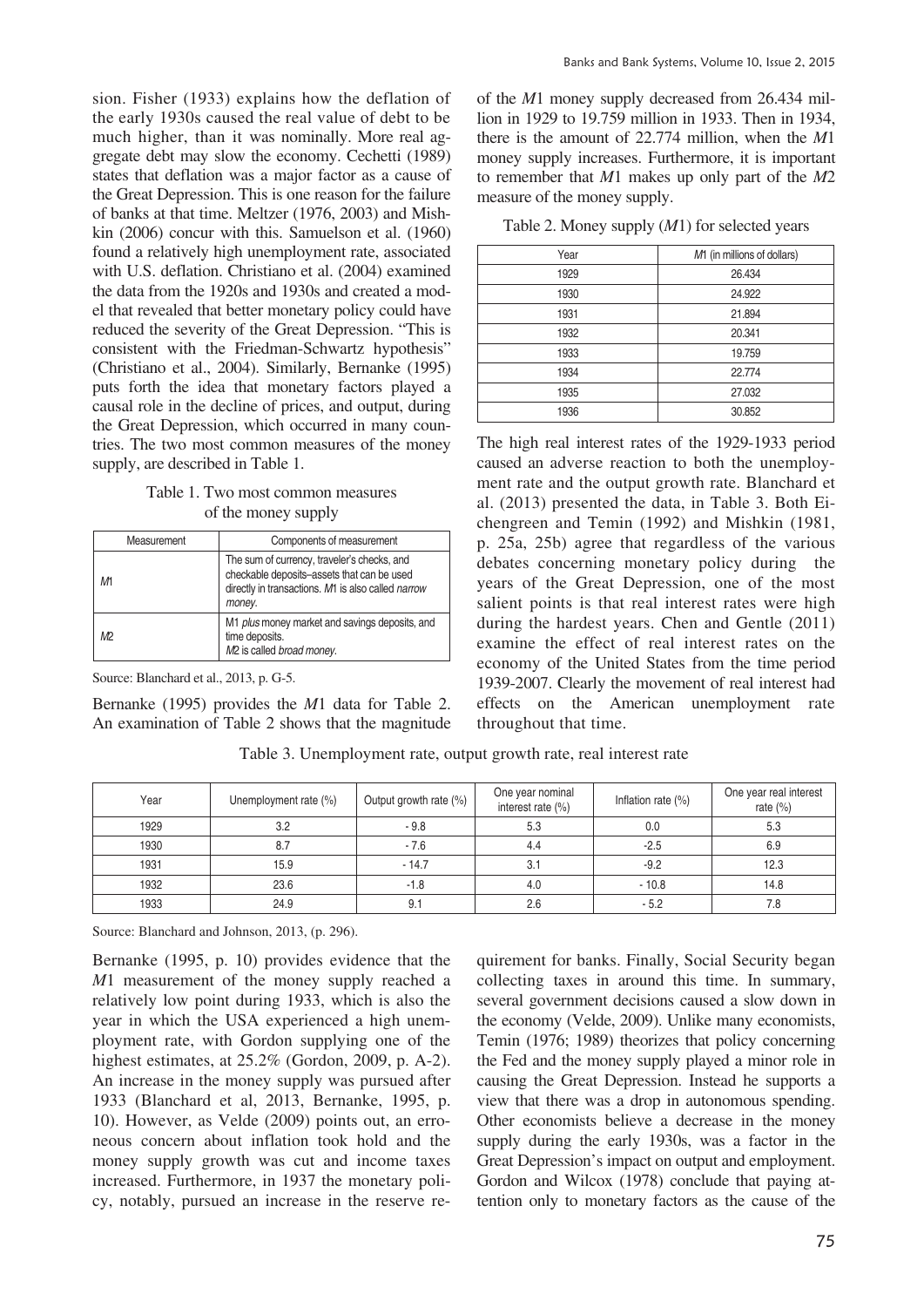sion. Fisher (1933) explains how the deflation of the early 1930s caused the real value of debt to be much higher, than it was nominally. More real aggregate debt may slow the economy. Cechetti (1989) states that deflation was a major factor as a cause of the Great Depression. This is one reason for the failure of banks at that time. Meltzer (1976, 2003) and Mishkin (2006) concur with this. Samuelson et al. (1960) found a relatively high unemployment rate, associated with U.S. deflation. Christiano et al. (2004) examined the data from the 1920s and 1930s and created a model that revealed that better monetary policy could have reduced the severity of the Great Depression. "This is consistent with the Friedman-Schwartz hypothesis" (Christiano et al., 2004). Similarly, Bernanke (1995) puts forth the idea that monetary factors played a causal role in the decline of prices, and output, during the Great Depression, which occurred in many countries. The two most common measures of the money supply, are described in Table 1.

## Table 1. Two most common measures of the money supply

| Measurement | Components of measurement                                                                                                                                 |  |
|-------------|-----------------------------------------------------------------------------------------------------------------------------------------------------------|--|
| М1          | The sum of currency, traveler's checks, and<br>checkable deposits-assets that can be used<br>directly in transactions. M1 is also called narrow<br>money. |  |
| M2          | M1 plus money market and savings deposits, and<br>time deposits.<br>M <sub>2</sub> is called broad money.                                                 |  |

Source: Blanchard et al., 2013, p. G-5.

Bernanke (1995) provides the *M*1 data for Table 2. An examination of Table 2 shows that the magnitude of the *M*1 money supply decreased from 26.434 million in 1929 to 19.759 million in 1933. Then in 1934, there is the amount of 22.774 million, when the *M*1 money supply increases. Furthermore, it is important to remember that *M*1 makes up only part of the *M*2 measure of the money supply.

Table 2. Money supply (*M*1) for selected years

| M1 (in millions of dollars) |  |  |
|-----------------------------|--|--|
| 26.434                      |  |  |
| 24.922                      |  |  |
| 21.894                      |  |  |
| 20.341                      |  |  |
| 19.759                      |  |  |
| 22.774                      |  |  |
| 27.032                      |  |  |
| 30.852                      |  |  |
|                             |  |  |

The high real interest rates of the 1929-1933 period caused an adverse reaction to both the unemployment rate and the output growth rate. Blanchard et al. (2013) presented the data, in Table 3. Both Eichengreen and Temin (1992) and Mishkin (1981, p. 25a, 25b) agree that regardless of the various debates concerning monetary policy during the years of the Great Depression, one of the most salient points is that real interest rates were high during the hardest years. Chen and Gentle (2011) examine the effect of real interest rates on the economy of the United States from the time period 1939-2007. Clearly the movement of real interest had effects on the American unemployment rate throughout that time.

| Year | Unemployment rate (%) | Output growth rate (%) | One year nominal<br>interest rate $(\% )$ | Inflation rate $(\%)$ | One year real interest<br>rate $(\% )$ |
|------|-----------------------|------------------------|-------------------------------------------|-----------------------|----------------------------------------|
| 1929 | 3.2                   | $-9.8$                 | 5.3                                       | 0.0                   | 5.3                                    |
| 1930 | 8.7                   | $-7.6$                 | 4.4                                       | $-2.5$                | 6.9                                    |
| 1931 | 15.9                  | $-14.7$                | 3.1                                       | $-9.2$                | 12.3                                   |
| 1932 | 23.6                  | $-1.8$                 | 4.0                                       | $-10.8$               | 14.8                                   |
| 1933 | 24.9                  | 9.1                    | 2.6                                       | $-5.2$                | 7.8                                    |

Table 3. Unemployment rate, output growth rate, real interest rate

Source: Blanchard and Johnson, 2013, (p. 296).

Bernanke (1995, p. 10) provides evidence that the *M*1 measurement of the money supply reached a relatively low point during 1933, which is also the year in which the USA experienced a high unemployment rate, with Gordon supplying one of the highest estimates, at 25.2% (Gordon, 2009, p. A-2). An increase in the money supply was pursued after 1933 (Blanchard et al, 2013, Bernanke, 1995, p. 10). However, as Velde (2009) points out, an erroneous concern about inflation took hold and the money supply growth was cut and income taxes increased. Furthermore, in 1937 the monetary policy, notably, pursued an increase in the reserve requirement for banks. Finally, Social Security began collecting taxes in around this time. In summary, several government decisions caused a slow down in the economy (Velde, 2009). Unlike many economists, Temin (1976; 1989) theorizes that policy concerning the Fed and the money supply played a minor role in causing the Great Depression. Instead he supports a view that there was a drop in autonomous spending. Other economists believe a decrease in the money supply during the early 1930s, was a factor in the Great Depression's impact on output and employment. Gordon and Wilcox (1978) conclude that paying attention only to monetary factors as the cause of the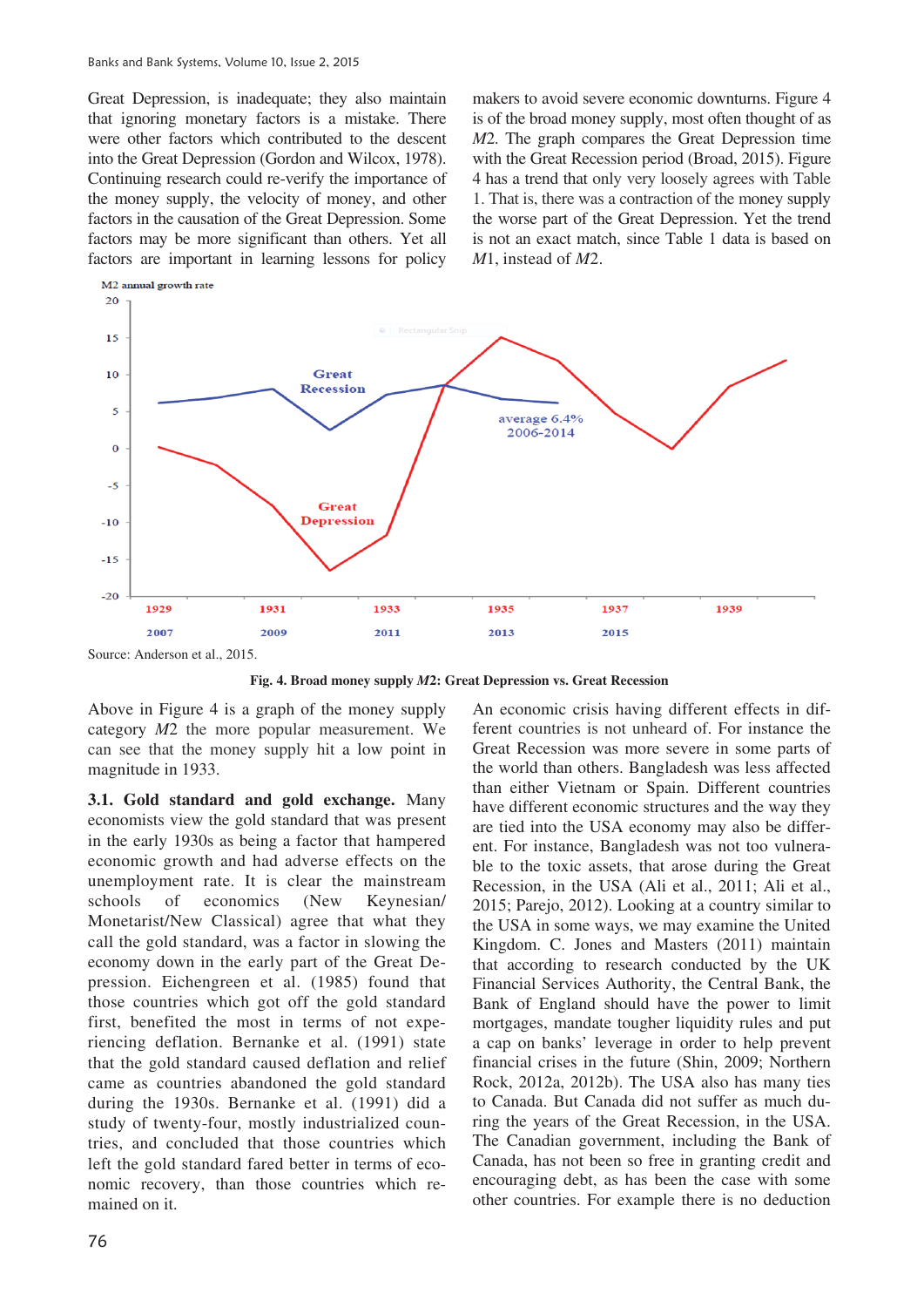Great Depression, is inadequate; they also maintain that ignoring monetary factors is a mistake. There were other factors which contributed to the descent into the Great Depression (Gordon and Wilcox, 1978). Continuing research could re-verify the importance of the money supply, the velocity of money, and other factors in the causation of the Great Depression. Some factors may be more significant than others. Yet all factors are important in learning lessons for policy

makers to avoid severe economic downturns. Figure 4 is of the broad money supply, most often thought of as *M*2. The graph compares the Great Depression time with the Great Recession period (Broad, 2015). Figure 4 has a trend that only very loosely agrees with Table 1. That is, there was a contraction of the money supply the worse part of the Great Depression. Yet the trend is not an exact match, since Table 1 data is based on *M*1, instead of *M*2.



**Fig. 4. Broad money supply** *M***2: Great Depression vs. Great Recession** 

Above in Figure 4 is a graph of the money supply category *M*2 the more popular measurement. We can see that the money supply hit a low point in magnitude in 1933.

**3.1. Gold standard and gold exchange.** Many economists view the gold standard that was present in the early 1930s as being a factor that hampered economic growth and had adverse effects on the unemployment rate. It is clear the mainstream schools of economics (New Keynesian/ Monetarist/New Classical) agree that what they call the gold standard, was a factor in slowing the economy down in the early part of the Great Depression. Eichengreen et al. (1985) found that those countries which got off the gold standard first, benefited the most in terms of not experiencing deflation. Bernanke et al. (1991) state that the gold standard caused deflation and relief came as countries abandoned the gold standard during the 1930s. Bernanke et al. (1991) did a study of twenty-four, mostly industrialized countries, and concluded that those countries which left the gold standard fared better in terms of economic recovery, than those countries which remained on it.

An economic crisis having different effects in different countries is not unheard of. For instance the Great Recession was more severe in some parts of the world than others. Bangladesh was less affected than either Vietnam or Spain. Different countries have different economic structures and the way they are tied into the USA economy may also be different. For instance, Bangladesh was not too vulnerable to the toxic assets, that arose during the Great Recession, in the USA (Ali et al., 2011; Ali et al., 2015; Parejo, 2012). Looking at a country similar to the USA in some ways, we may examine the United Kingdom. C. Jones and Masters (2011) maintain that according to research conducted by the UK Financial Services Authority, the Central Bank, the Bank of England should have the power to limit mortgages, mandate tougher liquidity rules and put a cap on banks' leverage in order to help prevent financial crises in the future (Shin, 2009; Northern Rock, 2012a, 2012b). The USA also has many ties to Canada. But Canada did not suffer as much during the years of the Great Recession, in the USA. The Canadian government, including the Bank of Canada, has not been so free in granting credit and encouraging debt, as has been the case with some other countries. For example there is no deduction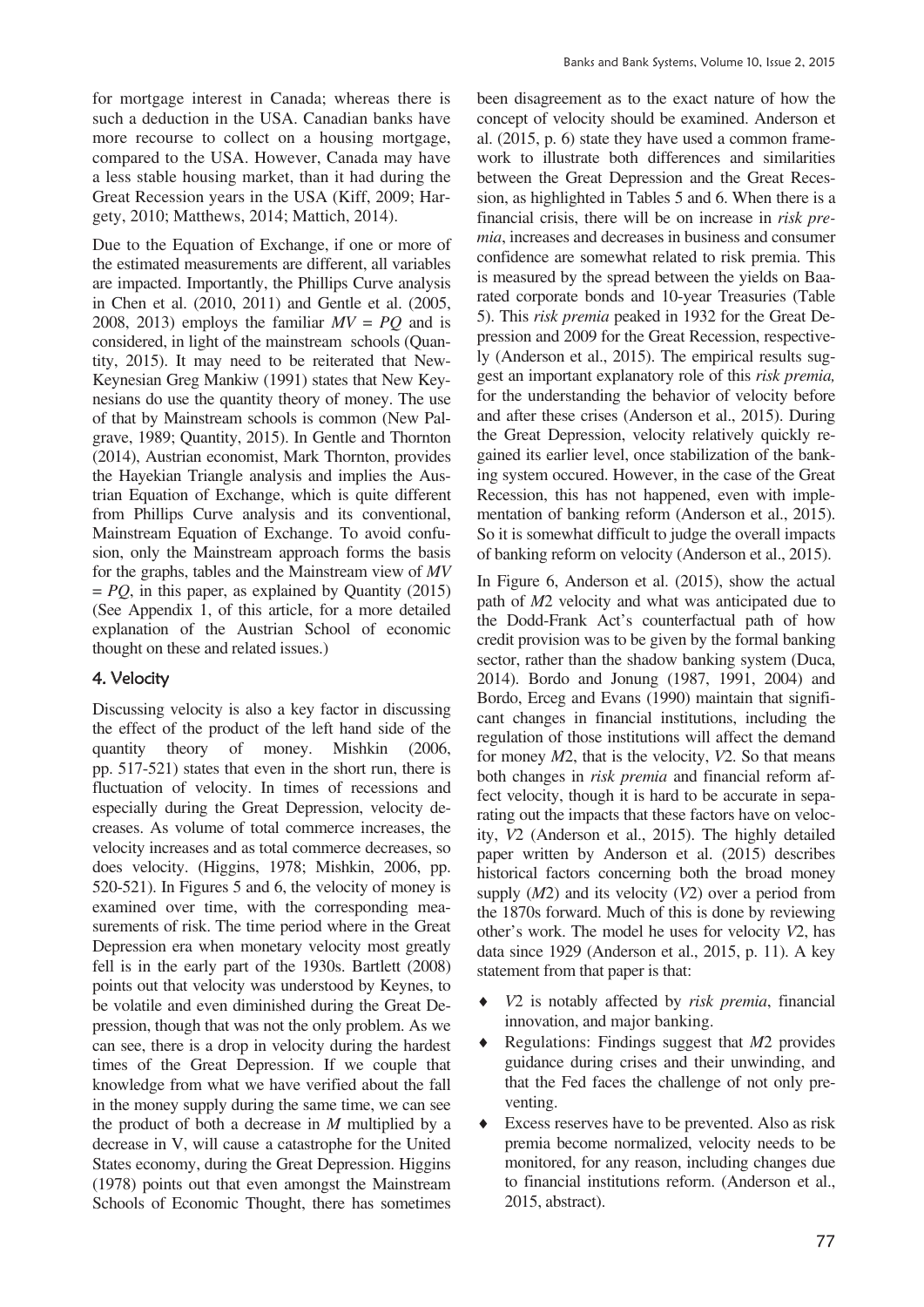for mortgage interest in Canada; whereas there is such a deduction in the USA. Canadian banks have more recourse to collect on a housing mortgage, compared to the USA. However, Canada may have a less stable housing market, than it had during the Great Recession years in the USA (Kiff, 2009; Hargety, 2010; Matthews, 2014; Mattich, 2014).

Due to the Equation of Exchange, if one or more of the estimated measurements are different, all variables are impacted. Importantly, the Phillips Curve analysis in Chen et al. (2010, 2011) and Gentle et al. (2005, 2008, 2013) employs the familiar  $MV = PO$  and is considered, in light of the mainstream schools (Quantity, 2015). It may need to be reiterated that New-Keynesian Greg Mankiw (1991) states that New Keynesians do use the quantity theory of money. The use of that by Mainstream schools is common (New Palgrave, 1989; Quantity, 2015). In Gentle and Thornton (2014), Austrian economist, Mark Thornton, provides the Hayekian Triangle analysis and implies the Austrian Equation of Exchange, which is quite different from Phillips Curve analysis and its conventional, Mainstream Equation of Exchange. To avoid confusion, only the Mainstream approach forms the basis for the graphs, tables and the Mainstream view of *MV*  $= PQ$ , in this paper, as explained by Quantity (2015) (See Appendix 1, of this article, for a more detailed explanation of the Austrian School of economic thought on these and related issues.)

## 4. Velocity

Discussing velocity is also a key factor in discussing the effect of the product of the left hand side of the quantity theory of money. Mishkin (2006, pp. 517-521) states that even in the short run, there is fluctuation of velocity. In times of recessions and especially during the Great Depression, velocity decreases. As volume of total commerce increases, the velocity increases and as total commerce decreases, so does velocity. (Higgins, 1978; Mishkin, 2006, pp. 520-521). In Figures 5 and 6, the velocity of money is examined over time, with the corresponding measurements of risk. The time period where in the Great Depression era when monetary velocity most greatly fell is in the early part of the 1930s. Bartlett (2008) points out that velocity was understood by Keynes, to be volatile and even diminished during the Great Depression, though that was not the only problem. As we can see, there is a drop in velocity during the hardest times of the Great Depression. If we couple that knowledge from what we have verified about the fall in the money supply during the same time, we can see the product of both a decrease in *M* multiplied by a decrease in V, will cause a catastrophe for the United States economy, during the Great Depression. Higgins (1978) points out that even amongst the Mainstream Schools of Economic Thought, there has sometimes

been disagreement as to the exact nature of how the concept of velocity should be examined. Anderson et al. (2015, p. 6) state they have used a common framework to illustrate both differences and similarities between the Great Depression and the Great Recession, as highlighted in Tables 5 and 6. When there is a financial crisis, there will be on increase in *risk premia*, increases and decreases in business and consumer confidence are somewhat related to risk premia. This is measured by the spread between the yields on Baarated corporate bonds and 10-year Treasuries (Table 5). This *risk premia* peaked in 1932 for the Great Depression and 2009 for the Great Recession, respectively (Anderson et al., 2015). The empirical results suggest an important explanatory role of this *risk premia,* for the understanding the behavior of velocity before and after these crises (Anderson et al., 2015). During the Great Depression, velocity relatively quickly regained its earlier level, once stabilization of the banking system occured. However, in the case of the Great Recession, this has not happened, even with implementation of banking reform (Anderson et al., 2015). So it is somewhat difficult to judge the overall impacts of banking reform on velocity (Anderson et al., 2015).

In Figure 6, Anderson et al. (2015), show the actual path of *M*2 velocity and what was anticipated due to the Dodd-Frank Act's counterfactual path of how credit provision was to be given by the formal banking sector, rather than the shadow banking system (Duca, 2014). Bordo and Jonung (1987, 1991, 2004) and Bordo, Erceg and Evans (1990) maintain that significant changes in financial institutions, including the regulation of those institutions will affect the demand for money *M*2, that is the velocity, *V*2. So that means both changes in *risk premia* and financial reform affect velocity, though it is hard to be accurate in separating out the impacts that these factors have on velocity, *V*2 (Anderson et al., 2015). The highly detailed paper written by Anderson et al. (2015) describes historical factors concerning both the broad money supply (*M*2) and its velocity (*V*2) over a period from the 1870s forward. Much of this is done by reviewing other's work. The model he uses for velocity *V*2, has data since 1929 (Anderson et al., 2015, p. 11). A key statement from that paper is that:

- i *V*2 is notably affected by *risk premia*, financial innovation, and major banking.
- Regulations: Findings suggest that *M*2 provides guidance during crises and their unwinding, and that the Fed faces the challenge of not only preventing.
- Excess reserves have to be prevented. Also as risk premia become normalized, velocity needs to be monitored, for any reason, including changes due to financial institutions reform. (Anderson et al., 2015, abstract).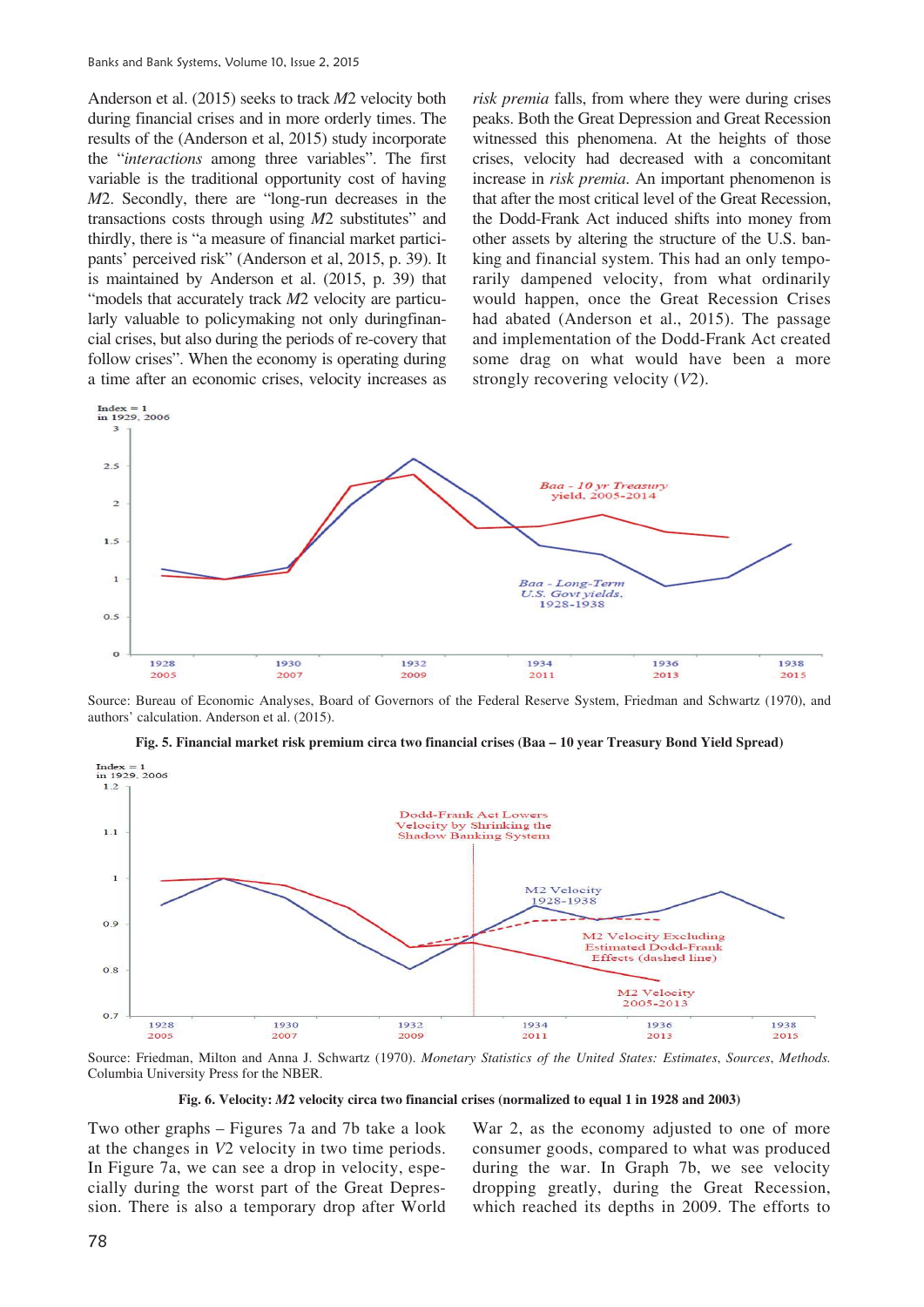Anderson et al. (2015) seeks to track *M*2 velocity both during financial crises and in more orderly times. The results of the (Anderson et al, 2015) study incorporate the "*interactions* among three variables". The first variable is the traditional opportunity cost of having *M*2. Secondly, there are "long-run decreases in the transactions costs through using *M*2 substitutes" and thirdly, there is "a measure of financial market participants' perceived risk" (Anderson et al, 2015, p. 39). It is maintained by Anderson et al. (2015, p. 39) that "models that accurately track *M*2 velocity are particularly valuable to policymaking not only duringfinancial crises, but also during the periods of re-covery that follow crises". When the economy is operating during a time after an economic crises, velocity increases as *risk premia* falls, from where they were during crises peaks. Both the Great Depression and Great Recession witnessed this phenomena. At the heights of those crises, velocity had decreased with a concomitant increase in *risk premia*. An important phenomenon is that after the most critical level of the Great Recession, the Dodd-Frank Act induced shifts into money from other assets by altering the structure of the U.S. banking and financial system. This had an only temporarily dampened velocity, from what ordinarily would happen, once the Great Recession Crises had abated (Anderson et al., 2015). The passage and implementation of the Dodd-Frank Act created some drag on what would have been a more strongly recovering velocity (*V*2).



Source: Bureau of Economic Analyses, Board of Governors of the Federal Reserve System, Friedman and Schwartz (1970), and authors' calculation. Anderson et al. (2015).



**Fig. 5. Financial market risk premium circa two financial crises (Baa – 10 year Treasury Bond Yield Spread)** 

Source: Friedman, Milton and Anna J. Schwartz (1970). *Monetary Statistics of the United States: Estimates*, *Sources*, *Methods.*  Columbia University Press for the NBER.

**Fig. 6. Velocity:** *M***2 velocity circa two financial crises (normalized to equal 1 in 1928 and 2003)** 

Two other graphs – Figures 7a and 7b take a look at the changes in *V*2 velocity in two time periods. In Figure 7a, we can see a drop in velocity, especially during the worst part of the Great Depression. There is also a temporary drop after World

War 2, as the economy adjusted to one of more consumer goods, compared to what was produced during the war. In Graph 7b, we see velocity dropping greatly, during the Great Recession, which reached its depths in 2009. The efforts to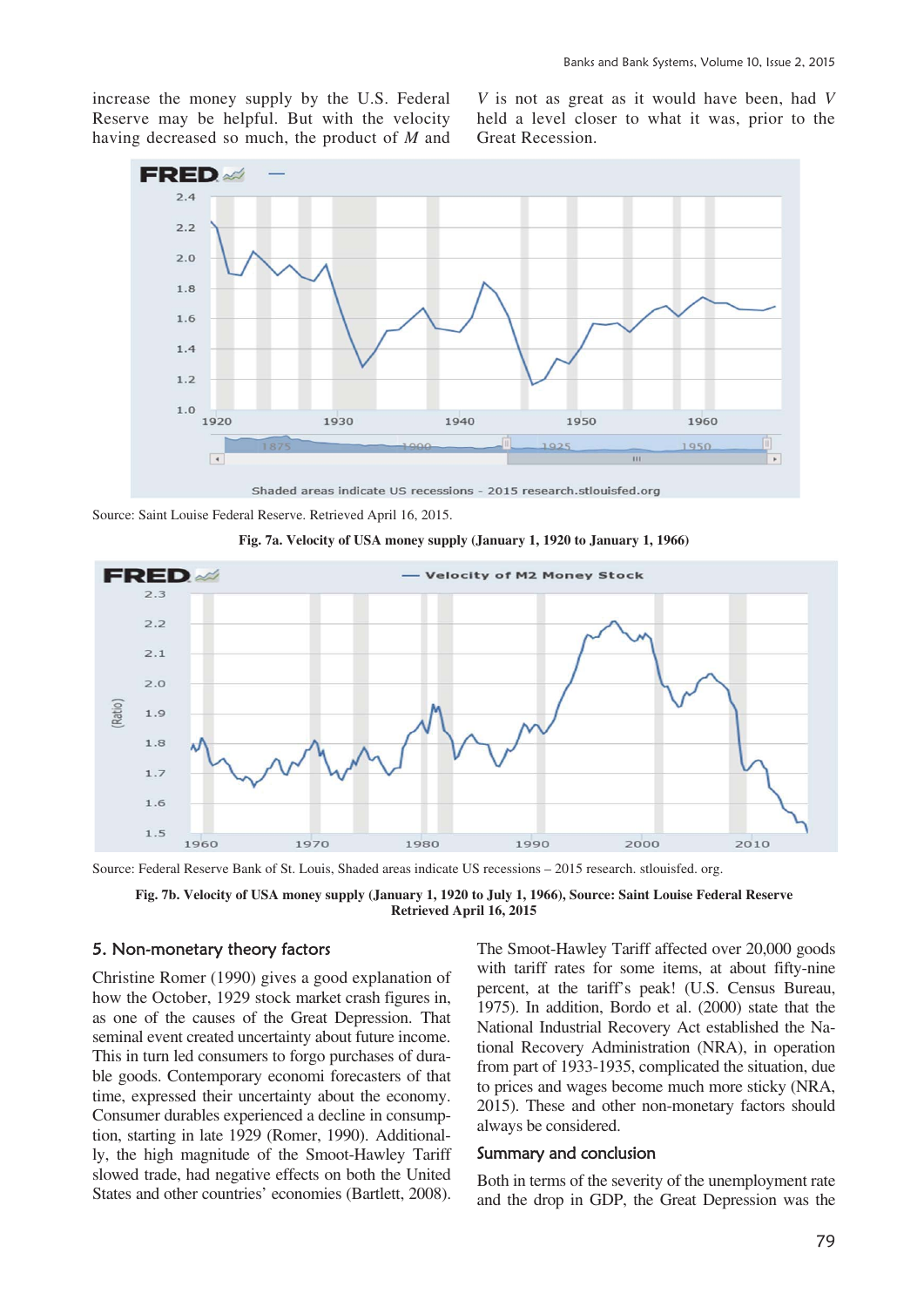increase the money supply by the U.S. Federal Reserve may be helpful. But with the velocity having decreased so much, the product of *M* and

*V* is not as great as it would have been, had *V* held a level closer to what it was, prior to the Great Recession.



Shaded areas indicate US recessions - 2015 research stlouisfed org

Source: Saint Louise Federal Reserve. Retrieved April 16, 2015.



**Fig. 7a. Velocity of USA money supply (January 1, 1920 to January 1, 1966)** 

Source: Federal Reserve Bank of St. Louis, Shaded areas indicate US recessions – 2015 research. stlouisfed. org.

**Fig. 7b. Velocity of USA money supply (January 1, 1920 to July 1, 1966), Source: Saint Louise Federal Reserve Retrieved April 16, 2015** 

## 5. Non-monetary theory factors

Christine Romer (1990) gives a good explanation of how the October, 1929 stock market crash figures in, as one of the causes of the Great Depression. That seminal event created uncertainty about future income. This in turn led consumers to forgo purchases of durable goods. Contemporary economi forecasters of that time, expressed their uncertainty about the economy. Consumer durables experienced a decline in consumption, starting in late 1929 (Romer, 1990). Additionally, the high magnitude of the Smoot-Hawley Tariff slowed trade, had negative effects on both the United States and other countries' economies (Bartlett, 2008).

The Smoot-Hawley Tariff affected over 20,000 goods with tariff rates for some items, at about fifty-nine percent, at the tariff's peak! (U.S. Census Bureau, 1975). In addition, Bordo et al. (2000) state that the National Industrial Recovery Act established the National Recovery Administration (NRA), in operation from part of 1933-1935, complicated the situation, due to prices and wages become much more sticky (NRA, 2015). These and other non-monetary factors should always be considered.

#### Summary and conclusion

Both in terms of the severity of the unemployment rate and the drop in GDP, the Great Depression was the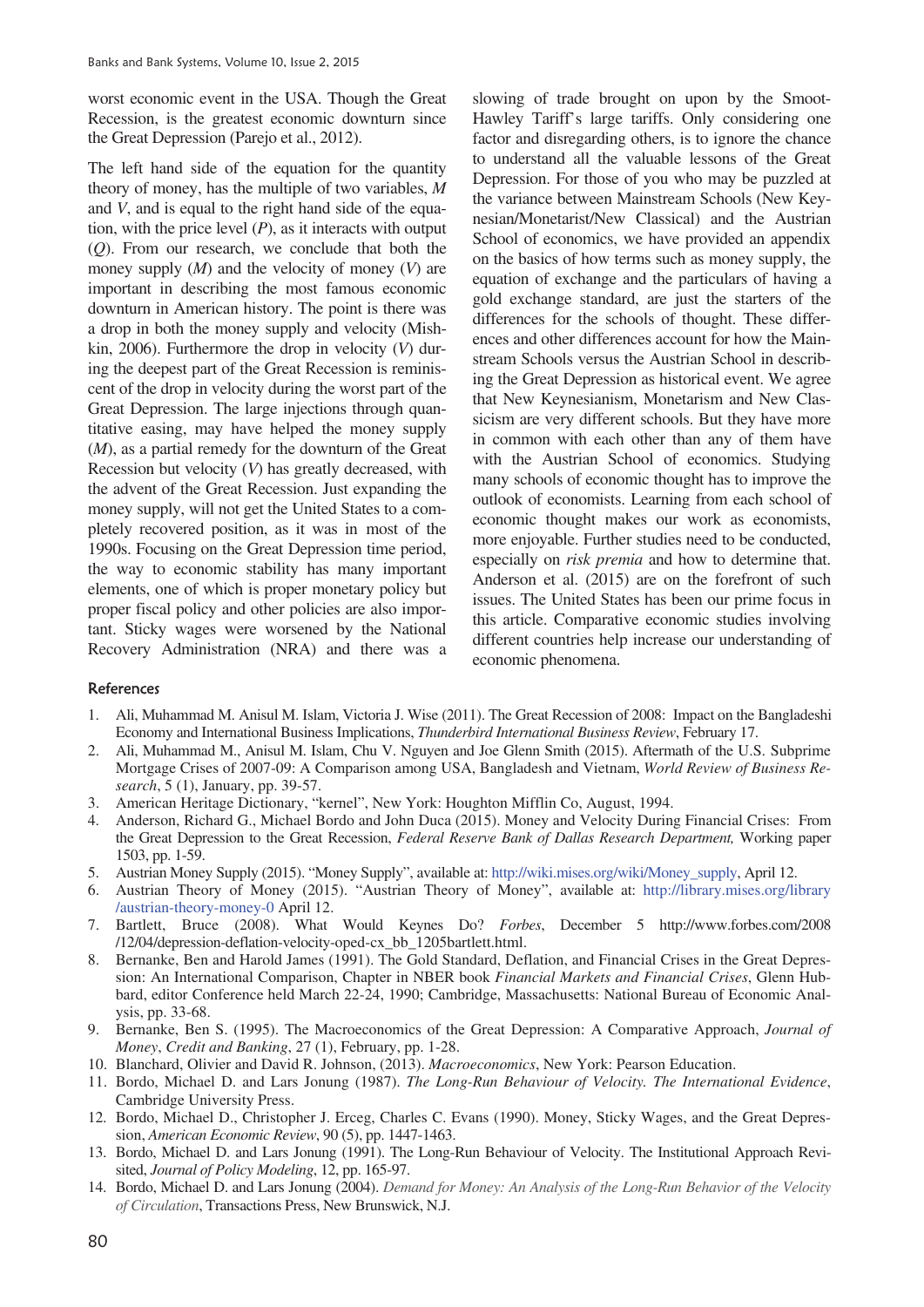worst economic event in the USA. Though the Great Recession, is the greatest economic downturn since the Great Depression (Parejo et al., 2012).

The left hand side of the equation for the quantity theory of money, has the multiple of two variables, *M* and *V*, and is equal to the right hand side of the equation, with the price level  $(P)$ , as it interacts with output (*Q*). From our research, we conclude that both the money supply (*M*) and the velocity of money (*V*) are important in describing the most famous economic downturn in American history. The point is there was a drop in both the money supply and velocity (Mishkin, 2006). Furthermore the drop in velocity (*V*) during the deepest part of the Great Recession is reminiscent of the drop in velocity during the worst part of the Great Depression. The large injections through quantitative easing, may have helped the money supply (*M*), as a partial remedy for the downturn of the Great Recession but velocity (*V*) has greatly decreased, with the advent of the Great Recession. Just expanding the money supply, will not get the United States to a completely recovered position, as it was in most of the 1990s. Focusing on the Great Depression time period, the way to economic stability has many important elements, one of which is proper monetary policy but proper fiscal policy and other policies are also important. Sticky wages were worsened by the National Recovery Administration (NRA) and there was a slowing of trade brought on upon by the Smoot-Hawley Tariff's large tariffs. Only considering one factor and disregarding others, is to ignore the chance to understand all the valuable lessons of the Great Depression. For those of you who may be puzzled at the variance between Mainstream Schools (New Keynesian/Monetarist/New Classical) and the Austrian School of economics, we have provided an appendix on the basics of how terms such as money supply, the equation of exchange and the particulars of having a gold exchange standard, are just the starters of the differences for the schools of thought. These differences and other differences account for how the Mainstream Schools versus the Austrian School in describing the Great Depression as historical event. We agree that New Keynesianism, Monetarism and New Classicism are very different schools. But they have more in common with each other than any of them have with the Austrian School of economics. Studying many schools of economic thought has to improve the outlook of economists. Learning from each school of economic thought makes our work as economists, more enjoyable. Further studies need to be conducted, especially on *risk premia* and how to determine that. Anderson et al. (2015) are on the forefront of such issues. The United States has been our prime focus in this article. Comparative economic studies involving different countries help increase our understanding of economic phenomena.

#### References

- 1. Ali, Muhammad M. Anisul M. Islam, Victoria J. Wise (2011). The Great Recession of 2008: Impact on the Bangladeshi Economy and International Business Implications, *Thunderbird International Business Review*, February 17.
- 2. Ali, Muhammad M., Anisul M. Islam, Chu V. Nguyen and Joe Glenn Smith (2015). Aftermath of the U.S. Subprime Mortgage Crises of 2007-09: A Comparison among USA, Bangladesh and Vietnam, *World Review of Business Research*, 5 (1), January, pp. 39-57.
- 3. American Heritage Dictionary, "kernel", New York: Houghton Mifflin Co, August, 1994.
- 4. Anderson, Richard G., Michael Bordo and John Duca (2015). Money and Velocity During Financial Crises: From the Great Depression to the Great Recession, *Federal Reserve Bank of Dallas Research Department,* Working paper 1503, pp. 1-59.
- 5. Austrian Money Supply (2015). "Money Supply", available at: http://wiki.mises.org/wiki/Money\_supply, April 12.
- 6. Austrian Theory of Money (2015). "Austrian Theory of Money", available at: http://library.mises.org/library /austrian-theory-money-0 April 12.
- 7. Bartlett, Bruce (2008). What Would Keynes Do? *Forbes*, December 5 http://www.forbes.com/2008 /12/04/depression-deflation-velocity-oped-cx\_bb\_1205bartlett.html.
- 8. Bernanke, Ben and Harold James (1991). The Gold Standard, Deflation, and Financial Crises in the Great Depression: An International Comparison, Chapter in NBER book *Financial Markets and Financial Crises*, Glenn Hubbard, editor Conference held March 22-24, 1990; Cambridge, Massachusetts: National Bureau of Economic Analysis, pp. 33-68.
- 9. Bernanke, Ben S. (1995). The Macroeconomics of the Great Depression: A Comparative Approach, *Journal of Money*, *Credit and Banking*, 27 (1), February, pp. 1-28.
- 10. Blanchard, Olivier and David R. Johnson, (2013). *Macroeconomics*, New York: Pearson Education.
- 11. Bordo, Michael D. and Lars Jonung (1987). *The Long-Run Behaviour of Velocity. The International Evidence*, Cambridge University Press.
- 12. Bordo, Michael D., Christopher J. Erceg, Charles C. Evans (1990). Money, Sticky Wages, and the Great Depression, *American Economic Review*, 90 (5), pp. 1447-1463.
- 13. Bordo, Michael D. and Lars Jonung (1991). The Long-Run Behaviour of Velocity. The Institutional Approach Revisited, *Journal of Policy Modeling*, 12, pp. 165-97.
- 14. Bordo, Michael D. and Lars Jonung (2004). *Demand for Money: An Analysis of the Long-Run Behavior of the Velocity of Circulation*, Transactions Press, New Brunswick, N.J.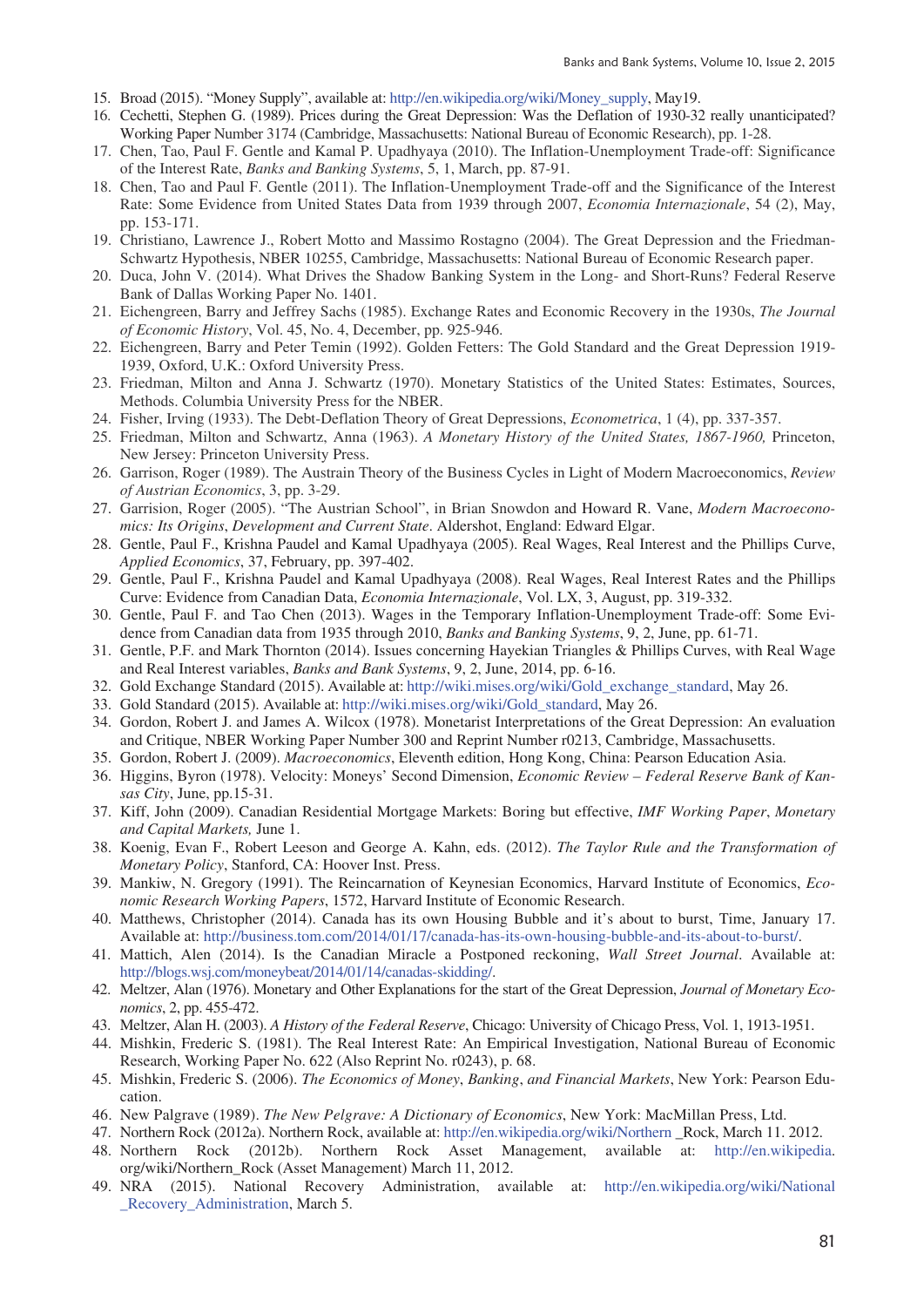- 15. Broad (2015). "Money Supply", available at: http://en.wikipedia.org/wiki/Money\_supply, May19.
- 16. Cechetti, Stephen G. (1989). Prices during the Great Depression: Was the Deflation of 1930-32 really unanticipated? Working Paper Number 3174 (Cambridge, Massachusetts: National Bureau of Economic Research), pp. 1-28.
- 17. Chen, Tao, Paul F. Gentle and Kamal P. Upadhyaya (2010). The Inflation-Unemployment Trade-off: Significance of the Interest Rate, *Banks and Banking Systems*, 5, 1, March, pp. 87-91.
- 18. Chen, Tao and Paul F. Gentle (2011). The Inflation-Unemployment Trade-off and the Significance of the Interest Rate: Some Evidence from United States Data from 1939 through 2007, *Economia Internazionale*, 54 (2), May, pp. 153-171.
- 19. Christiano, Lawrence J., Robert Motto and Massimo Rostagno (2004). The Great Depression and the Friedman-Schwartz Hypothesis, NBER 10255, Cambridge, Massachusetts: National Bureau of Economic Research paper.
- 20. Duca, John V. (2014). What Drives the Shadow Banking System in the Long- and Short-Runs? Federal Reserve Bank of Dallas Working Paper No. 1401.
- 21. Eichengreen, Barry and Jeffrey Sachs (1985). Exchange Rates and Economic Recovery in the 1930s, *The Journal of Economic History*, Vol. 45, No. 4, December, pp. 925-946.
- 22. Eichengreen, Barry and Peter Temin (1992). Golden Fetters: The Gold Standard and the Great Depression 1919- 1939, Oxford, U.K.: Oxford University Press.
- 23. Friedman, Milton and Anna J. Schwartz (1970). Monetary Statistics of the United States: Estimates, Sources, Methods. Columbia University Press for the NBER.
- 24. Fisher, Irving (1933). The Debt-Deflation Theory of Great Depressions, *Econometrica*, 1 (4), pp. 337-357.
- 25. Friedman, Milton and Schwartz, Anna (1963). *A Monetary History of the United States, 1867-1960,* Princeton, New Jersey: Princeton University Press.
- 26. Garrison, Roger (1989). The Austrain Theory of the Business Cycles in Light of Modern Macroeconomics, *Review of Austrian Economics*, 3, pp. 3-29.
- 27. Garrision, Roger (2005). "The Austrian School", in Brian Snowdon and Howard R. Vane, *Modern Macroeconomics: Its Origins*, *Development and Current State*. Aldershot, England: Edward Elgar.
- 28. Gentle, Paul F., Krishna Paudel and Kamal Upadhyaya (2005). Real Wages, Real Interest and the Phillips Curve, *Applied Economics*, 37, February, pp. 397-402.
- 29. Gentle, Paul F., Krishna Paudel and Kamal Upadhyaya (2008). Real Wages, Real Interest Rates and the Phillips Curve: Evidence from Canadian Data, *Economia Internazionale*, Vol. LX, 3, August, pp. 319-332.
- 30. Gentle, Paul F. and Tao Chen (2013). Wages in the Temporary Inflation-Unemployment Trade-off: Some Evidence from Canadian data from 1935 through 2010, *Banks and Banking Systems*, 9, 2, June, pp. 61-71.
- 31. Gentle, P.F. and Mark Thornton (2014). Issues concerning Hayekian Triangles & Phillips Curves, with Real Wage and Real Interest variables, *Banks and Bank Systems*, 9, 2, June, 2014, pp. 6-16.
- 32. Gold Exchange Standard (2015). Available at: http://wiki.mises.org/wiki/Gold\_exchange\_standard, May 26.
- 33. Gold Standard (2015). Available at: http://wiki.mises.org/wiki/Gold\_standard, May 26.
- 34. Gordon, Robert J. and James A. Wilcox (1978). Monetarist Interpretations of the Great Depression: An evaluation and Critique, NBER Working Paper Number 300 and Reprint Number r0213, Cambridge, Massachusetts.
- 35. Gordon, Robert J. (2009). *Macroeconomics*, Eleventh edition, Hong Kong, China: Pearson Education Asia.
- 36. Higgins, Byron (1978). Velocity: Moneys' Second Dimension, *Economic Review Federal Reserve Bank of Kansas City*, June, pp.15-31.
- 37. Kiff, John (2009). Canadian Residential Mortgage Markets: Boring but effective, *IMF Working Paper*, *Monetary and Capital Markets,* June 1.
- 38. Koenig, Evan F., Robert Leeson and George A. Kahn, eds. (2012). *The Taylor Rule and the Transformation of Monetary Policy*, Stanford, CA: Hoover Inst. Press.
- 39. Mankiw, N. Gregory (1991). The Reincarnation of Keynesian Economics, Harvard Institute of Economics, *Economic Research Working Papers*, 1572, Harvard Institute of Economic Research.
- 40. Matthews, Christopher (2014). Canada has its own Housing Bubble and it's about to burst, Time, January 17. Available at: http://business.tom.com/2014/01/17/canada-has-its-own-housing-bubble-and-its-about-to-burst/.
- 41. Mattich, Alen (2014). Is the Canadian Miracle a Postponed reckoning, *Wall Street Journal*. Available at: http://blogs.wsj.com/moneybeat/2014/01/14/canadas-skidding/.
- 42. Meltzer, Alan (1976). Monetary and Other Explanations for the start of the Great Depression, *Journal of Monetary Economics*, 2, pp. 455-472.
- 43. Meltzer, Alan H. (2003). *A History of the Federal Reserve*, Chicago: University of Chicago Press, Vol. 1, 1913-1951.
- 44. Mishkin, Frederic S. (1981). The Real Interest Rate: An Empirical Investigation, National Bureau of Economic Research, Working Paper No. 622 (Also Reprint No. r0243), p. 68.
- 45. Mishkin, Frederic S. (2006). *The Economics of Money*, *Banking*, *and Financial Markets*, New York: Pearson Education.
- 46. New Palgrave (1989). *The New Pelgrave: A Dictionary of Economics*, New York: MacMillan Press, Ltd.
- 47. Northern Rock (2012a). Northern Rock, available at: http://en.wikipedia.org/wiki/Northern \_Rock, March 11. 2012.
- 48. Northern Rock (2012b). Northern Rock Asset Management, available at: http://en.wikipedia. org/wiki/Northern\_Rock (Asset Management) March 11, 2012.
- 49. NRA (2015). National Recovery Administration, available at: http://en.wikipedia.org/wiki/National \_Recovery\_Administration, March 5.